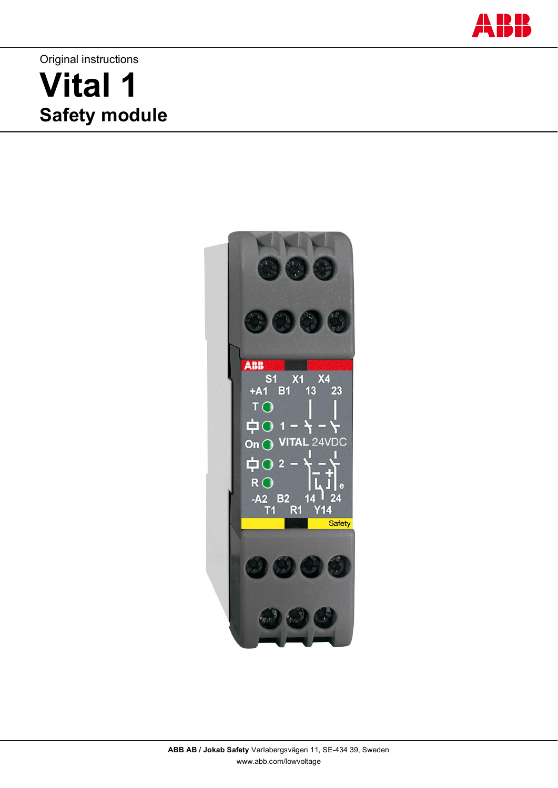

# Original instructions **Vital 1 Safety module**

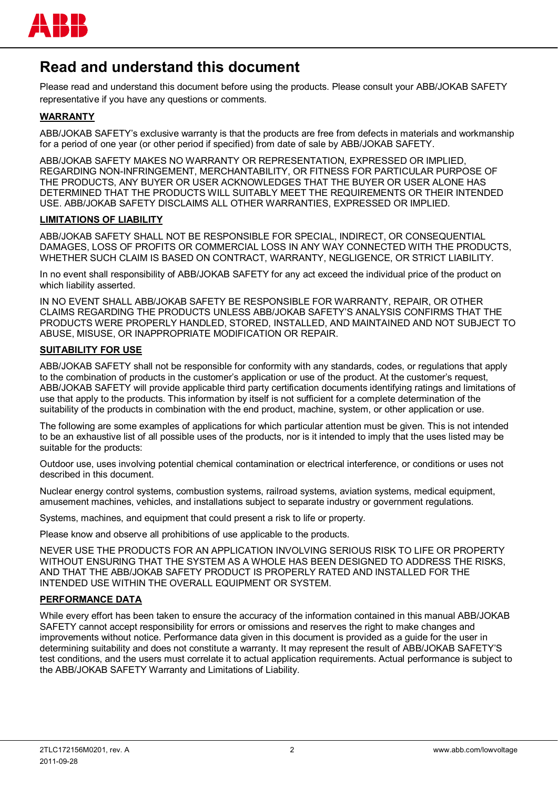

## **Read and understand this document**

Please read and understand this document before using the products. Please consult your ABB/JOKAB SAFETY representative if you have any questions or comments.

### **WARRANTY**

ABB/JOKAB SAFETY's exclusive warranty is that the products are free from defects in materials and workmanship for a period of one year (or other period if specified) from date of sale by ABB/JOKAB SAFETY.

ABB/JOKAB SAFETY MAKES NO WARRANTY OR REPRESENTATION, EXPRESSED OR IMPLIED, REGARDING NON-INFRINGEMENT, MERCHANTABILITY, OR FITNESS FOR PARTICULAR PURPOSE OF THE PRODUCTS, ANY BUYER OR USER ACKNOWLEDGES THAT THE BUYER OR USER ALONE HAS DETERMINED THAT THE PRODUCTS WILL SUITABLY MEET THE REQUIREMENTS OR THEIR INTENDED USE. ABB/JOKAB SAFETY DISCLAIMS ALL OTHER WARRANTIES, EXPRESSED OR IMPLIED.

#### **LIMITATIONS OF LIABILITY**

ABB/JOKAB SAFETY SHALL NOT BE RESPONSIBLE FOR SPECIAL, INDIRECT, OR CONSEQUENTIAL DAMAGES, LOSS OF PROFITS OR COMMERCIAL LOSS IN ANY WAY CONNECTED WITH THE PRODUCTS, WHETHER SUCH CLAIM IS BASED ON CONTRACT, WARRANTY, NEGLIGENCE, OR STRICT LIABILITY.

In no event shall responsibility of ABB/JOKAB SAFETY for any act exceed the individual price of the product on which liability asserted.

IN NO EVENT SHALL ABB/JOKAB SAFETY BE RESPONSIBLE FOR WARRANTY, REPAIR, OR OTHER CLAIMS REGARDING THE PRODUCTS UNLESS ABB/JOKAB SAFETY'S ANALYSIS CONFIRMS THAT THE PRODUCTS WERE PROPERLY HANDLED, STORED, INSTALLED, AND MAINTAINED AND NOT SUBJECT TO ABUSE, MISUSE, OR INAPPROPRIATE MODIFICATION OR REPAIR.

#### **SUITABILITY FOR USE**

ABB/JOKAB SAFETY shall not be responsible for conformity with any standards, codes, or regulations that apply to the combination of products in the customer's application or use of the product. At the customer's request, ABB/JOKAB SAFETY will provide applicable third party certification documents identifying ratings and limitations of use that apply to the products. This information by itself is not sufficient for a complete determination of the suitability of the products in combination with the end product, machine, system, or other application or use.

The following are some examples of applications for which particular attention must be given. This is not intended to be an exhaustive list of all possible uses of the products, nor is it intended to imply that the uses listed may be suitable for the products:

Outdoor use, uses involving potential chemical contamination or electrical interference, or conditions or uses not described in this document.

Nuclear energy control systems, combustion systems, railroad systems, aviation systems, medical equipment, amusement machines, vehicles, and installations subject to separate industry or government regulations.

Systems, machines, and equipment that could present a risk to life or property.

Please know and observe all prohibitions of use applicable to the products.

NEVER USE THE PRODUCTS FOR AN APPLICATION INVOLVING SERIOUS RISK TO LIFE OR PROPERTY WITHOUT ENSURING THAT THE SYSTEM AS A WHOLE HAS BEEN DESIGNED TO ADDRESS THE RISKS, AND THAT THE ABB/JOKAB SAFETY PRODUCT IS PROPERLY RATED AND INSTALLED FOR THE INTENDED USE WITHIN THE OVERALL EQUIPMENT OR SYSTEM.

#### **PERFORMANCE DATA**

While every effort has been taken to ensure the accuracy of the information contained in this manual ABB/JOKAB SAFETY cannot accept responsibility for errors or omissions and reserves the right to make changes and improvements without notice. Performance data given in this document is provided as a guide for the user in determining suitability and does not constitute a warranty. It may represent the result of ABB/JOKAB SAFETY'S test conditions, and the users must correlate it to actual application requirements. Actual performance is subject to the ABB/JOKAB SAFETY Warranty and Limitations of Liability.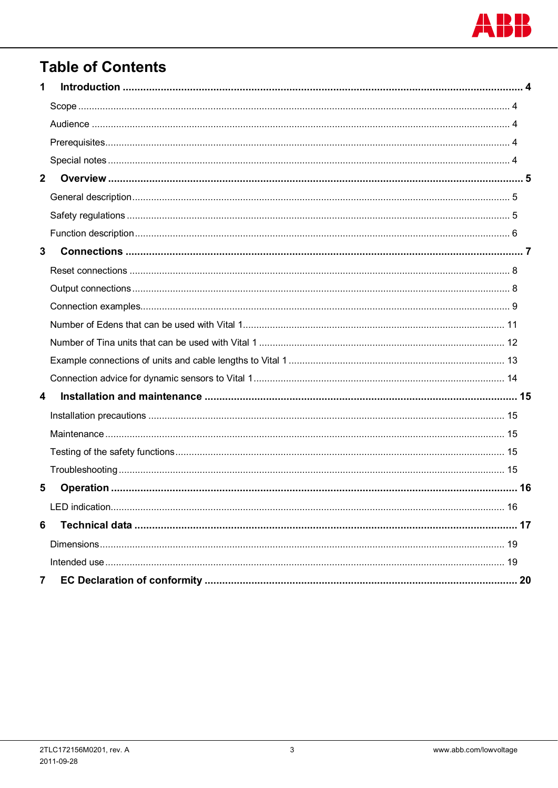

## **Table of Contents**

| 1              |  |
|----------------|--|
|                |  |
|                |  |
|                |  |
|                |  |
| $\overline{2}$ |  |
|                |  |
|                |  |
|                |  |
| $\mathbf{3}$   |  |
|                |  |
|                |  |
|                |  |
|                |  |
|                |  |
|                |  |
|                |  |
| 4              |  |
|                |  |
|                |  |
|                |  |
|                |  |
| 5              |  |
|                |  |
| 6              |  |
|                |  |
|                |  |
| 7              |  |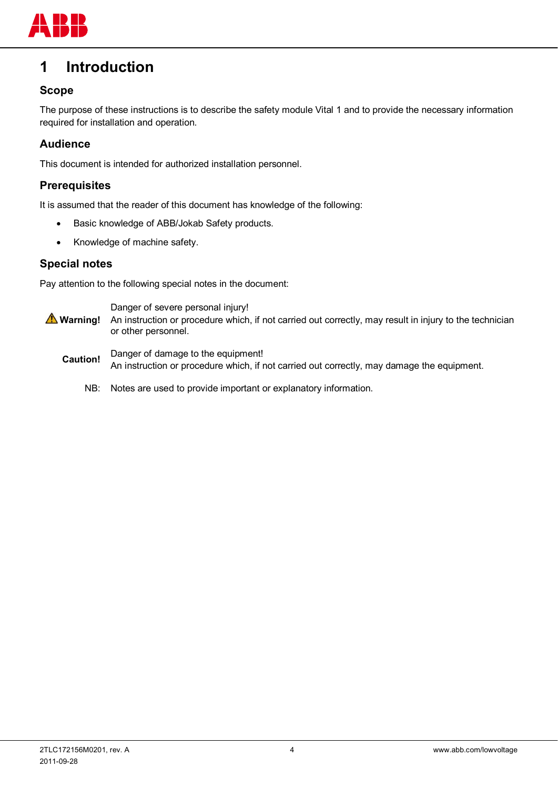

## **1 Introduction**

## **Scope**

The purpose of these instructions is to describe the safety module Vital 1 and to provide the necessary information required for installation and operation.

## **Audience**

This document is intended for authorized installation personnel.

## **Prerequisites**

It is assumed that the reader of this document has knowledge of the following:

- Basic knowledge of ABB/Jokab Safety products.
- Knowledge of machine safety.

### **Special notes**

Pay attention to the following special notes in the document:

 **Warning!** Danger of severe personal injury! An instruction or procedure which, if not carried out correctly, may result in injury to the technician or other personnel. **Caution!** Danger of damage to the equipment! An instruction or procedure which, if not carried out correctly, may damage the equipment.

NB: Notes are used to provide important or explanatory information.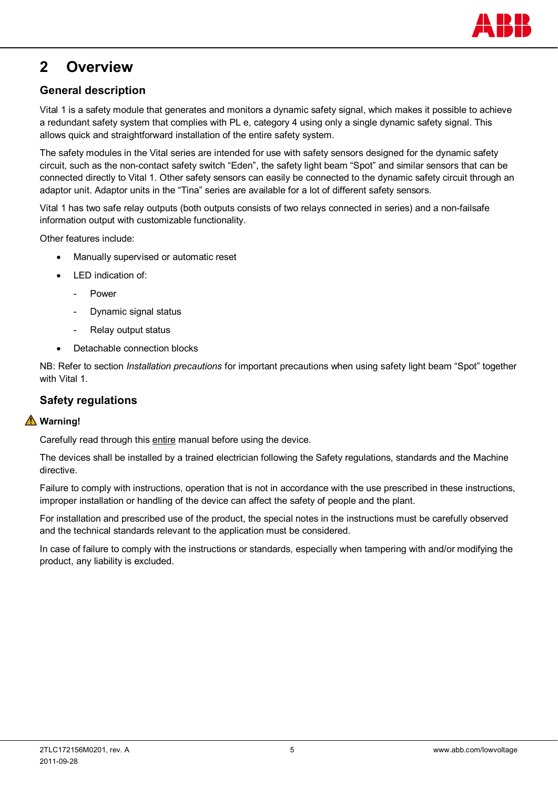

## **2 Overview**

## **General description**

Vital 1 is a safety module that generates and monitors a dynamic safety signal, which makes it possible to achieve a redundant safety system that complies with PL e, category 4 using only a single dynamic safety signal. This allows quick and straightforward installation of the entire safety system.

The safety modules in the Vital series are intended for use with safety sensors designed for the dynamic safety circuit, such as the non-contact safety switch "Eden", the safety light beam "Spot" and similar sensors that can be connected directly to Vital 1. Other safety sensors can easily be connected to the dynamic safety circuit through an adaptor unit. Adaptor units in the "Tina" series are available for a lot of different safety sensors.

Vital 1 has two safe relay outputs (both outputs consists of two relays connected in series) and a non-failsafe information output with customizable functionality.

Other features include:

- Manually supervised or automatic reset
- LED indication of:
	- **Power**
	- Dynamic signal status
	- Relay output status
- Detachable connection blocks

NB: Refer to section *Installation precautions* for important precautions when using safety light beam "Spot" together with Vital 1.

## **Safety regulations**

## **Warning!**

Carefully read through this entire manual before using the device.

The devices shall be installed by a trained electrician following the Safety regulations, standards and the Machine directive.

Failure to comply with instructions, operation that is not in accordance with the use prescribed in these instructions, improper installation or handling of the device can affect the safety of people and the plant.

For installation and prescribed use of the product, the special notes in the instructions must be carefully observed and the technical standards relevant to the application must be considered.

In case of failure to comply with the instructions or standards, especially when tampering with and/or modifying the product, any liability is excluded.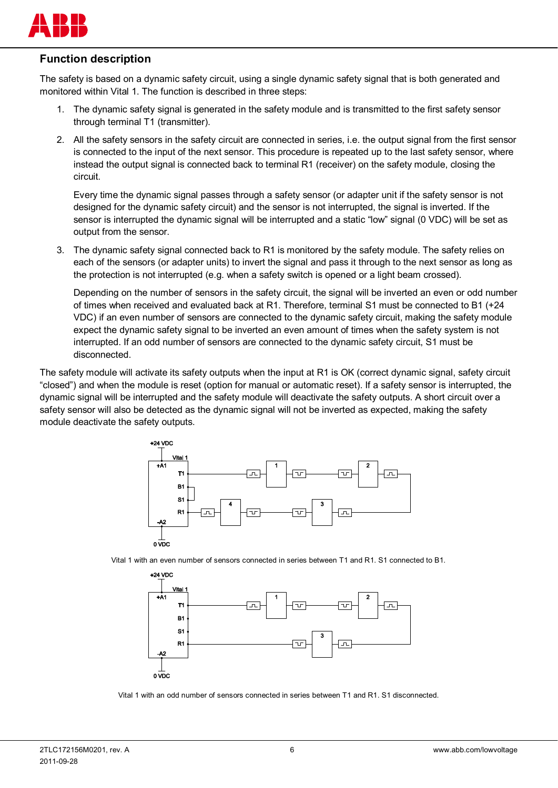

## **Function description**

The safety is based on a dynamic safety circuit, using a single dynamic safety signal that is both generated and monitored within Vital 1. The function is described in three steps:

- 1. The dynamic safety signal is generated in the safety module and is transmitted to the first safety sensor through terminal T1 (transmitter).
- 2. All the safety sensors in the safety circuit are connected in series, i.e. the output signal from the first sensor is connected to the input of the next sensor. This procedure is repeated up to the last safety sensor, where instead the output signal is connected back to terminal R1 (receiver) on the safety module, closing the circuit.

Every time the dynamic signal passes through a safety sensor (or adapter unit if the safety sensor is not designed for the dynamic safety circuit) and the sensor is not interrupted, the signal is inverted. If the sensor is interrupted the dynamic signal will be interrupted and a static "low" signal (0 VDC) will be set as output from the sensor.

3. The dynamic safety signal connected back to R1 is monitored by the safety module. The safety relies on each of the sensors (or adapter units) to invert the signal and pass it through to the next sensor as long as the protection is not interrupted (e.g. when a safety switch is opened or a light beam crossed).

Depending on the number of sensors in the safety circuit, the signal will be inverted an even or odd number of times when received and evaluated back at R1. Therefore, terminal S1 must be connected to B1 (+24 VDC) if an even number of sensors are connected to the dynamic safety circuit, making the safety module expect the dynamic safety signal to be inverted an even amount of times when the safety system is not interrupted. If an odd number of sensors are connected to the dynamic safety circuit, S1 must be disconnected.

The safety module will activate its safety outputs when the input at R1 is OK (correct dynamic signal, safety circuit "closed") and when the module is reset (option for manual or automatic reset). If a safety sensor is interrupted, the dynamic signal will be interrupted and the safety module will deactivate the safety outputs. A short circuit over a safety sensor will also be detected as the dynamic signal will not be inverted as expected, making the safety module deactivate the safety outputs.



Vital 1 with an even number of sensors connected in series between T1 and R1. S1 connected to B1.



Vital 1 with an odd number of sensors connected in series between T1 and R1. S1 disconnected.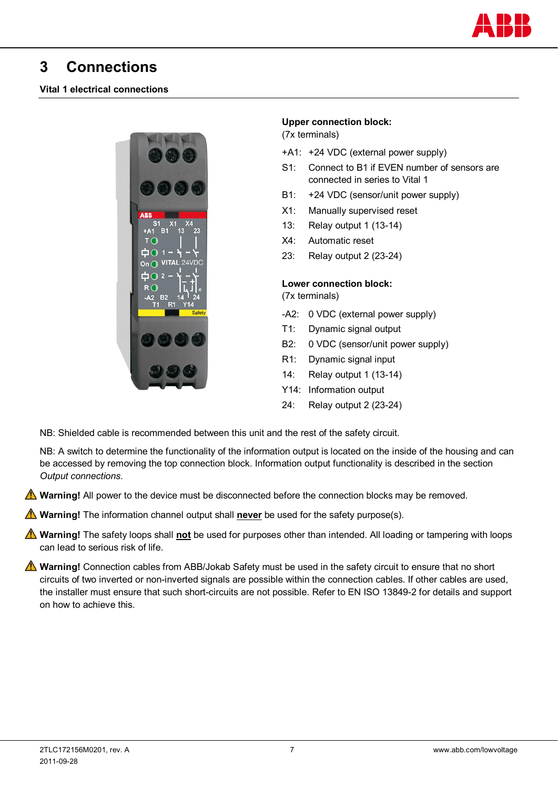

## **3 Connections**

### **Vital 1 electrical connections**



### **Upper connection block:**

(7x terminals)

- +A1: +24 VDC (external power supply)
- S1: Connect to B1 if EVEN number of sensors are connected in series to Vital 1
- B1: +24 VDC (sensor/unit power supply)
- X1: Manually supervised reset
- 13: Relay output 1 (13-14)
- X4: Automatic reset
- 23: Relay output 2 (23-24)

#### **Lower connection block:**

(7x terminals)

- -A2: 0 VDC (external power supply)
- T1: Dynamic signal output
- B2: 0 VDC (sensor/unit power supply)
- R1: Dynamic signal input
- 14: Relay output 1 (13-14)
- Y14: Information output
- 24: Relay output 2 (23-24)

NB: Shielded cable is recommended between this unit and the rest of the safety circuit.

NB: A switch to determine the functionality of the information output is located on the inside of the housing and can be accessed by removing the top connection block. Information output functionality is described in the section *Output connections*.

**A** Warning! All power to the device must be disconnected before the connection blocks may be removed.

 **Warning!** The information channel output shall **never** be used for the safety purpose(s).

 **Warning!** The safety loops shall **not** be used for purposes other than intended. All loading or tampering with loops can lead to serious risk of life.

**A** Warning! Connection cables from ABB/Jokab Safety must be used in the safety circuit to ensure that no short circuits of two inverted or non-inverted signals are possible within the connection cables. If other cables are used, the installer must ensure that such short-circuits are not possible. Refer to EN ISO 13849-2 for details and support on how to achieve this.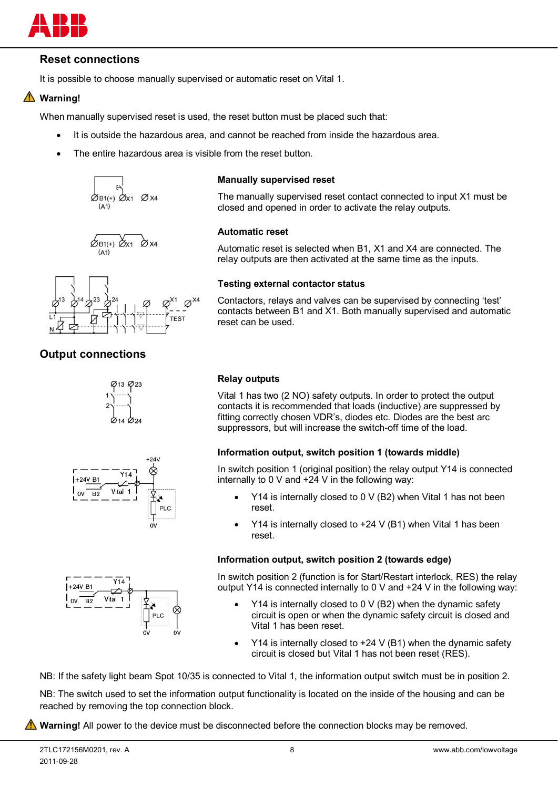

## **Reset connections**

It is possible to choose manually supervised or automatic reset on Vital 1.

## **Warning!**

When manually supervised reset is used, the reset button must be placed such that:

- It is outside the hazardous area, and cannot be reached from inside the hazardous area.
- The entire hazardous area is visible from the reset button.







## **Output connections**







#### **Manually supervised reset**

The manually supervised reset contact connected to input X1 must be closed and opened in order to activate the relay outputs.

#### **Automatic reset**

Automatic reset is selected when B1, X1 and X4 are connected. The relay outputs are then activated at the same time as the inputs.

#### **Testing external contactor status**

Contactors, relays and valves can be supervised by connecting 'test' contacts between B1 and X1. Both manually supervised and automatic reset can be used.

#### **Relay outputs**

Vital 1 has two (2 NO) safety outputs. In order to protect the output contacts it is recommended that loads (inductive) are suppressed by fitting correctly chosen VDR's, diodes etc. Diodes are the best arc suppressors, but will increase the switch-off time of the load.

#### **Information output, switch position 1 (towards middle)**

In switch position 1 (original position) the relay output Y14 is connected internally to 0 V and +24 V in the following way:

- x Y14 is internally closed to 0 V (B2) when Vital 1 has not been reset.
- Y14 is internally closed to  $+24$  V (B1) when Vital 1 has been reset.

#### **Information output, switch position 2 (towards edge)**

In switch position 2 (function is for Start/Restart interlock, RES) the relay output Y14 is connected internally to 0 V and +24 V in the following way:

- $\cdot$  Y14 is internally closed to 0 V (B2) when the dynamic safety circuit is open or when the dynamic safety circuit is closed and Vital 1 has been reset.
- Y14 is internally closed to  $+24$  V (B1) when the dynamic safety circuit is closed but Vital 1 has not been reset (RES).

NB: If the safety light beam Spot 10/35 is connected to Vital 1, the information output switch must be in position 2.

NB: The switch used to set the information output functionality is located on the inside of the housing and can be reached by removing the top connection block.

**All Warning!** All power to the device must be disconnected before the connection blocks may be removed.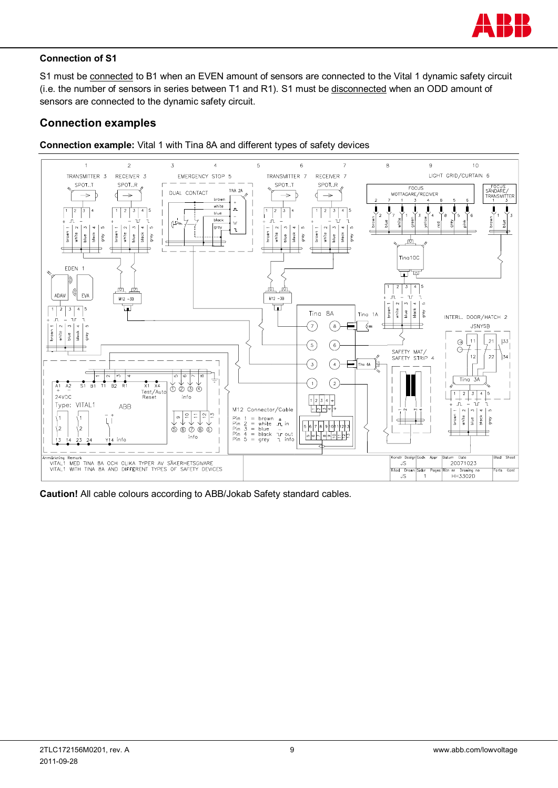

### **Connection of S1**

S1 must be connected to B1 when an EVEN amount of sensors are connected to the Vital 1 dynamic safety circuit (i.e. the number of sensors in series between T1 and R1). S1 must be disconnected when an ODD amount of sensors are connected to the dynamic safety circuit.

## **Connection examples**





**Caution!** All cable colours according to ABB/Jokab Safety standard cables.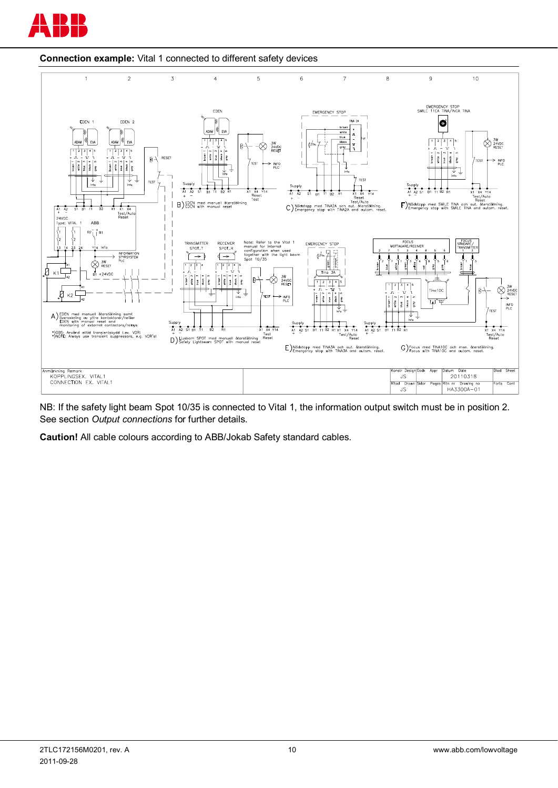



**Connection example:** Vital 1 connected to different safety devices

NB: If the safety light beam Spot 10/35 is connected to Vital 1, the information output switch must be in position 2. See section *Output connections* for further details.

**Caution!** All cable colours according to ABB/Jokab Safety standard cables.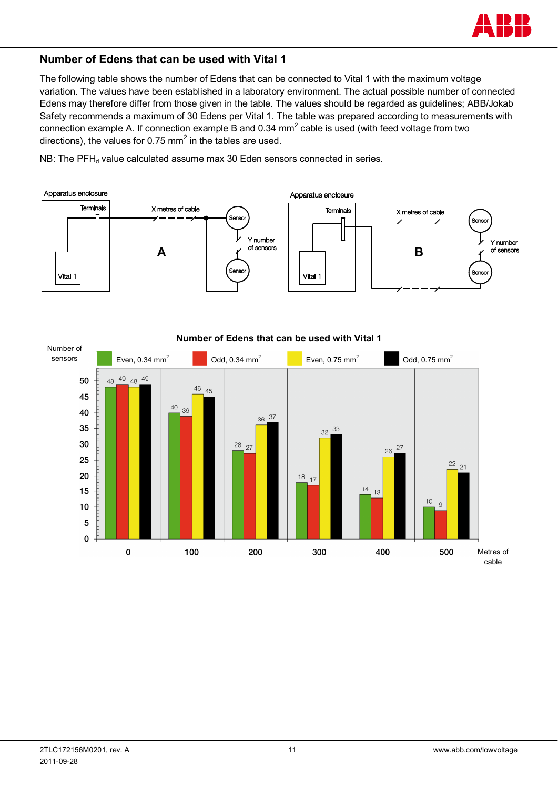

## **Number of Edens that can be used with Vital 1**

The following table shows the number of Edens that can be connected to Vital 1 with the maximum voltage variation. The values have been established in a laboratory environment. The actual possible number of connected Edens may therefore differ from those given in the table. The values should be regarded as guidelines; ABB/Jokab Safety recommends a maximum of 30 Edens per Vital 1. The table was prepared according to measurements with connection example A. If connection example B and 0.34 mm<sup>2</sup> cable is used (with feed voltage from two directions), the values for 0.75 mm<sup>2</sup> in the tables are used.

NB: The PFH<sub>d</sub> value calculated assume max 30 Eden sensors connected in series.





#### **Number of Edens that can be used with Vital 1**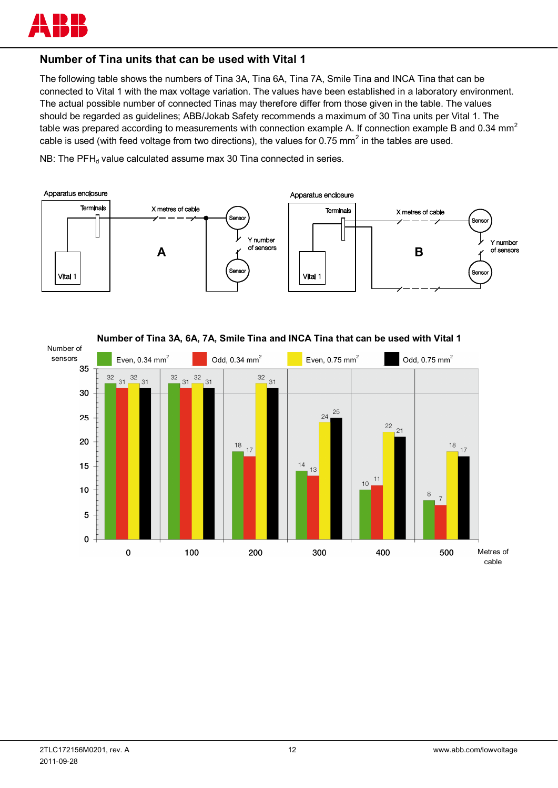

## **Number of Tina units that can be used with Vital 1**

The following table shows the numbers of Tina 3A, Tina 6A, Tina 7A, Smile Tina and INCA Tina that can be connected to Vital 1 with the max voltage variation. The values have been established in a laboratory environment. The actual possible number of connected Tinas may therefore differ from those given in the table. The values should be regarded as guidelines; ABB/Jokab Safety recommends a maximum of 30 Tina units per Vital 1. The table was prepared according to measurements with connection example A. If connection example B and 0.34 mm<sup>2</sup> cable is used (with feed voltage from two directions), the values for 0.75 mm<sup>2</sup> in the tables are used.

NB: The  $PFH_d$  value calculated assume max 30 Tina connected in series.



**Number of Tina 3A, 6A, 7A, Smile Tina and INCA Tina that can be used with Vital 1** 

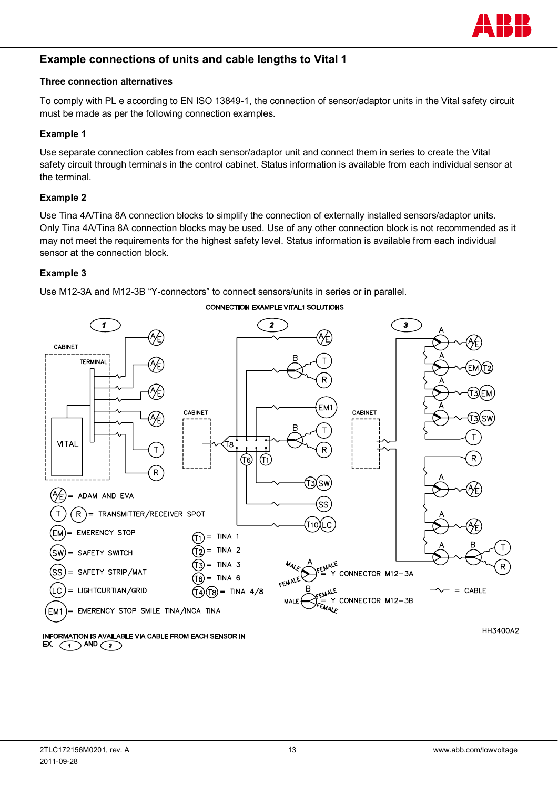

## **Example connections of units and cable lengths to Vital 1**

#### **Three connection alternatives**

To comply with PL e according to EN ISO 13849-1, the connection of sensor/adaptor units in the Vital safety circuit must be made as per the following connection examples.

#### **Example 1**

Use separate connection cables from each sensor/adaptor unit and connect them in series to create the Vital safety circuit through terminals in the control cabinet. Status information is available from each individual sensor at the terminal.

#### **Example 2**

Use Tina 4A/Tina 8A connection blocks to simplify the connection of externally installed sensors/adaptor units. Only Tina 4A/Tina 8A connection blocks may be used. Use of any other connection block is not recommended as it may not meet the requirements for the highest safety level. Status information is available from each individual sensor at the connection block.

#### **Example 3**

Use M12-3A and M12-3B "Y-connectors" to connect sensors/units in series or in parallel.



#### **INFORMATION IS AVAILABLE VIA CABLE FROM EACH SENSOR IN** EX.  $\bigcap$  AND  $\bigcap$

HH3400A2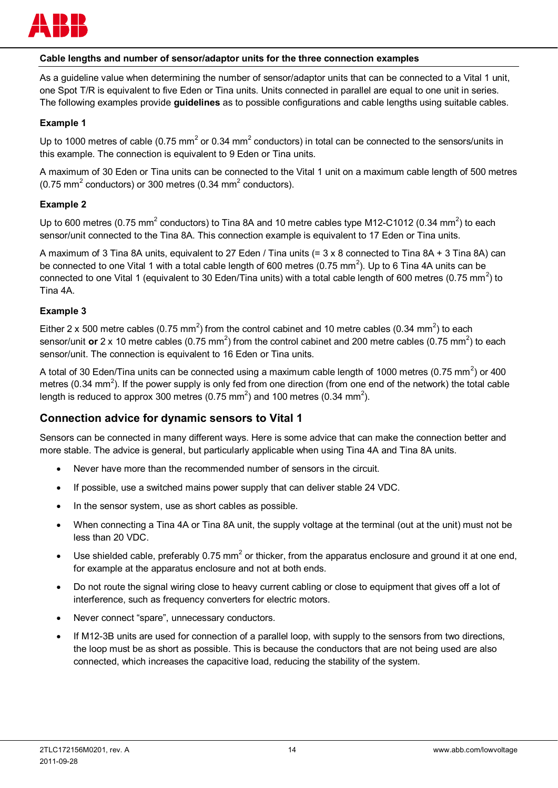

#### **Cable lengths and number of sensor/adaptor units for the three connection examples**

As a guideline value when determining the number of sensor/adaptor units that can be connected to a Vital 1 unit, one Spot T/R is equivalent to five Eden or Tina units. Units connected in parallel are equal to one unit in series. The following examples provide **guidelines** as to possible configurations and cable lengths using suitable cables.

#### **Example 1**

Up to 1000 metres of cable (0.75 mm<sup>2</sup> or 0.34 mm<sup>2</sup> conductors) in total can be connected to the sensors/units in this example. The connection is equivalent to 9 Eden or Tina units.

A maximum of 30 Eden or Tina units can be connected to the Vital 1 unit on a maximum cable length of 500 metres (0.75 mm<sup>2</sup> conductors) or 300 metres (0.34 mm<sup>2</sup> conductors).

#### **Example 2**

Up to 600 metres (0.75 mm<sup>2</sup> conductors) to Tina 8A and 10 metre cables type M12-C1012 (0.34 mm<sup>2</sup>) to each sensor/unit connected to the Tina 8A. This connection example is equivalent to 17 Eden or Tina units.

A maximum of 3 Tina 8A units, equivalent to 27 Eden / Tina units (= 3 x 8 connected to Tina 8A + 3 Tina 8A) can be connected to one Vital 1 with a total cable length of 600 metres (0.75 mm<sup>2</sup>). Up to 6 Tina 4A units can be connected to one Vital 1 (equivalent to 30 Eden/Tina units) with a total cable length of 600 metres (0.75 mm<sup>2</sup>) to Tina 4A.

#### **Example 3**

Either 2 x 500 metre cables (0.75 mm<sup>2</sup>) from the control cabinet and 10 metre cables (0.34 mm<sup>2</sup>) to each sensor/unit or 2 x 10 metre cables (0.75 mm<sup>2</sup>) from the control cabinet and 200 metre cables (0.75 mm<sup>2</sup>) to each sensor/unit. The connection is equivalent to 16 Eden or Tina units.

A total of 30 Eden/Tina units can be connected using a maximum cable length of 1000 metres (0.75 mm<sup>2</sup>) or 400 metres (0.34 mm<sup>2</sup>). If the power supply is only fed from one direction (from one end of the network) the total cable length is reduced to approx 300 metres (0.75 mm<sup>2</sup>) and 100 metres (0.34 mm<sup>2</sup>).

#### **Connection advice for dynamic sensors to Vital 1**

Sensors can be connected in many different ways. Here is some advice that can make the connection better and more stable. The advice is general, but particularly applicable when using Tina 4A and Tina 8A units.

- Never have more than the recommended number of sensors in the circuit.
- If possible, use a switched mains power supply that can deliver stable 24 VDC.
- In the sensor system, use as short cables as possible.
- x When connecting a Tina 4A or Tina 8A unit, the supply voltage at the terminal (out at the unit) must not be less than 20 VDC.
- Use shielded cable, preferably 0.75 mm<sup>2</sup> or thicker, from the apparatus enclosure and ground it at one end, for example at the apparatus enclosure and not at both ends.
- Do not route the signal wiring close to heavy current cabling or close to equipment that gives off a lot of interference, such as frequency converters for electric motors.
- Never connect "spare", unnecessary conductors.
- If M12-3B units are used for connection of a parallel loop, with supply to the sensors from two directions, the loop must be as short as possible. This is because the conductors that are not being used are also connected, which increases the capacitive load, reducing the stability of the system.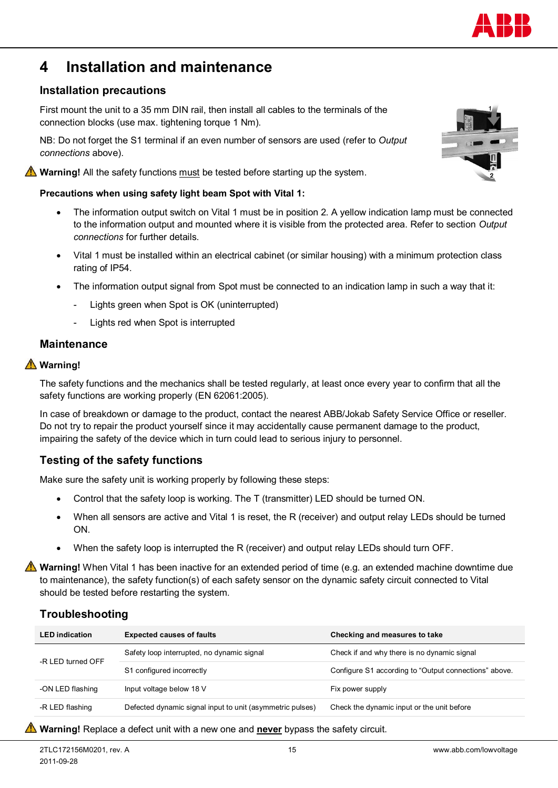## **4 Installation and maintenance**

## **Installation precautions**

First mount the unit to a 35 mm DIN rail, then install all cables to the terminals of the connection blocks (use max. tightening torque 1 Nm).

NB: Do not forget the S1 terminal if an even number of sensors are used (refer to *Output connections* above).

**Warning!** All the safety functions must be tested before starting up the system.

#### **Precautions when using safety light beam Spot with Vital 1:**

- The information output switch on Vital 1 must be in position 2. A yellow indication lamp must be connected to the information output and mounted where it is visible from the protected area. Refer to section *Output connections* for further details.
- x Vital 1 must be installed within an electrical cabinet (or similar housing) with a minimum protection class rating of IP54.
- The information output signal from Spot must be connected to an indication lamp in such a way that it:
	- Lights green when Spot is OK (uninterrupted)
	- Lights red when Spot is interrupted

#### **Maintenance**

### **Warning!**

The safety functions and the mechanics shall be tested regularly, at least once every year to confirm that all the safety functions are working properly (EN 62061:2005).

In case of breakdown or damage to the product, contact the nearest ABB/Jokab Safety Service Office or reseller. Do not try to repair the product yourself since it may accidentally cause permanent damage to the product, impairing the safety of the device which in turn could lead to serious injury to personnel.

## **Testing of the safety functions**

Make sure the safety unit is working properly by following these steps:

- Control that the safety loop is working. The T (transmitter) LED should be turned ON.
- When all sensors are active and Vital 1 is reset, the R (receiver) and output relay LEDs should be turned ON.
- x When the safety loop is interrupted the R (receiver) and output relay LEDs should turn OFF.

**Warning!** When Vital 1 has been inactive for an extended period of time (e.g. an extended machine downtime due to maintenance), the safety function(s) of each safety sensor on the dynamic safety circuit connected to Vital should be tested before restarting the system.

## **Troubleshooting**

| <b>LED</b> indication | <b>Expected causes of faults</b>                          | Checking and measures to take                         |
|-----------------------|-----------------------------------------------------------|-------------------------------------------------------|
|                       | Safety loop interrupted, no dynamic signal                | Check if and why there is no dynamic signal           |
| -R LED turned OFF     | S1 configured incorrectly                                 | Configure S1 according to "Output connections" above. |
| -ON LED flashing      | Input voltage below 18 V                                  | Fix power supply                                      |
| -R LED flashing       | Defected dynamic signal input to unit (asymmetric pulses) | Check the dynamic input or the unit before            |
|                       |                                                           |                                                       |

#### **Warning!** Replace a defect unit with a new one and **never** bypass the safety circuit.



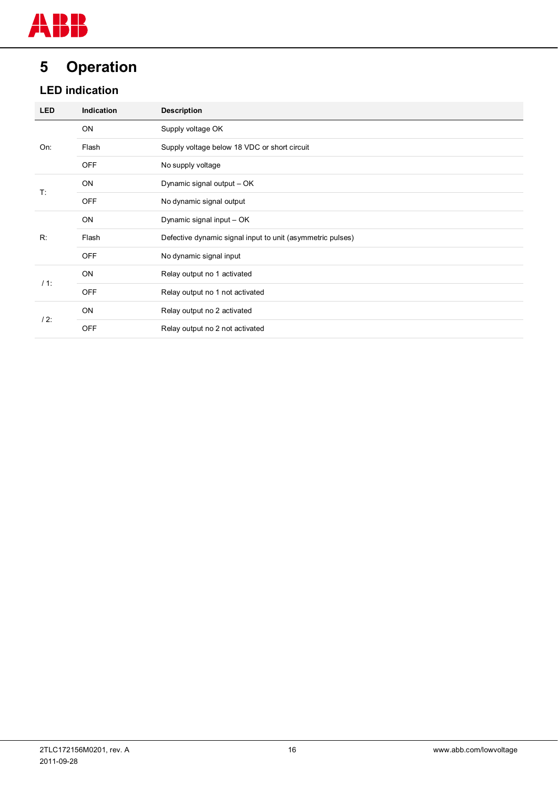## **5 Operation**

## **LED indication**

| <b>LED</b> | Indication | <b>Description</b>                                         |
|------------|------------|------------------------------------------------------------|
|            | ON         | Supply voltage OK                                          |
| On:        | Flash      | Supply voltage below 18 VDC or short circuit               |
|            | <b>OFF</b> | No supply voltage                                          |
| T:         | ON         | Dynamic signal output - OK                                 |
|            | <b>OFF</b> | No dynamic signal output                                   |
|            | ON         | Dynamic signal input - OK                                  |
| R:         | Flash      | Defective dynamic signal input to unit (asymmetric pulses) |
|            | <b>OFF</b> | No dynamic signal input                                    |
|            | ON         | Relay output no 1 activated                                |
| $/1$ :     | <b>OFF</b> | Relay output no 1 not activated                            |
| $/2$ :     | ON         | Relay output no 2 activated                                |
|            | <b>OFF</b> | Relay output no 2 not activated                            |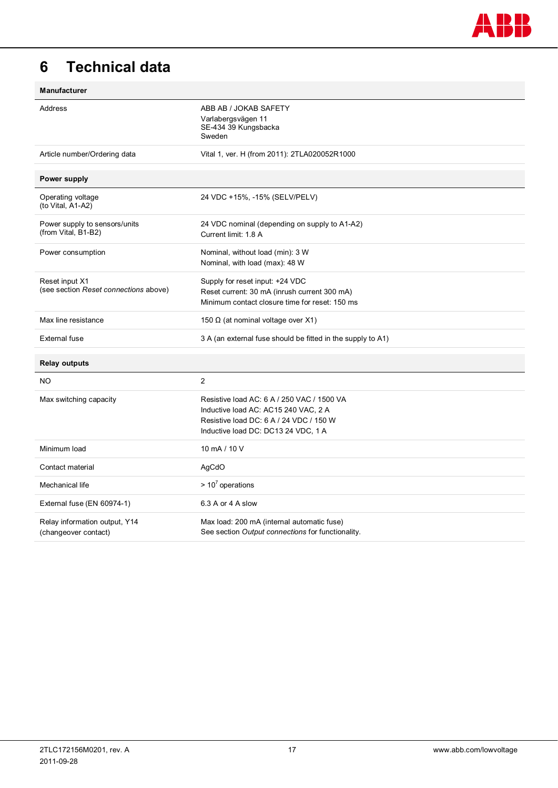

## **6 Technical data**

| Manufacturer                                            |                                                                                                                                                                      |
|---------------------------------------------------------|----------------------------------------------------------------------------------------------------------------------------------------------------------------------|
| Address                                                 | ABB AB / JOKAB SAFETY<br>Varlabergsvägen 11<br>SE-434 39 Kungsbacka<br>Sweden                                                                                        |
| Article number/Ordering data                            | Vital 1, ver. H (from 2011): 2TLA020052R1000                                                                                                                         |
| Power supply                                            |                                                                                                                                                                      |
| Operating voltage<br>(to Vital, A1-A2)                  | 24 VDC +15%, -15% (SELV/PELV)                                                                                                                                        |
| Power supply to sensors/units<br>(from Vital, B1-B2)    | 24 VDC nominal (depending on supply to A1-A2)<br>Current limit: 1.8 A                                                                                                |
| Power consumption                                       | Nominal, without load (min): 3 W<br>Nominal, with load (max): 48 W                                                                                                   |
| Reset input X1<br>(see section Reset connections above) | Supply for reset input: +24 VDC<br>Reset current: 30 mA (inrush current 300 mA)<br>Minimum contact closure time for reset: 150 ms                                    |
| Max line resistance                                     | 150 $\Omega$ (at nominal voltage over X1)                                                                                                                            |
| <b>External fuse</b>                                    | 3 A (an external fuse should be fitted in the supply to A1)                                                                                                          |
| <b>Relay outputs</b>                                    |                                                                                                                                                                      |
| NO.                                                     | $\overline{c}$                                                                                                                                                       |
| Max switching capacity                                  | Resistive load AC: 6 A / 250 VAC / 1500 VA<br>Inductive load AC: AC15 240 VAC, 2 A<br>Resistive load DC: 6 A / 24 VDC / 150 W<br>Inductive load DC: DC13 24 VDC, 1 A |
| Minimum load                                            | 10 mA / 10 V                                                                                                                                                         |
| Contact material                                        | AgCdO                                                                                                                                                                |
| Mechanical life                                         | $> 10^7$ operations                                                                                                                                                  |
| External fuse (EN 60974-1)                              | 6.3 A or 4 A slow                                                                                                                                                    |
| Relay information output, Y14<br>(changeover contact)   | Max load: 200 mA (internal automatic fuse)<br>See section Output connections for functionality.                                                                      |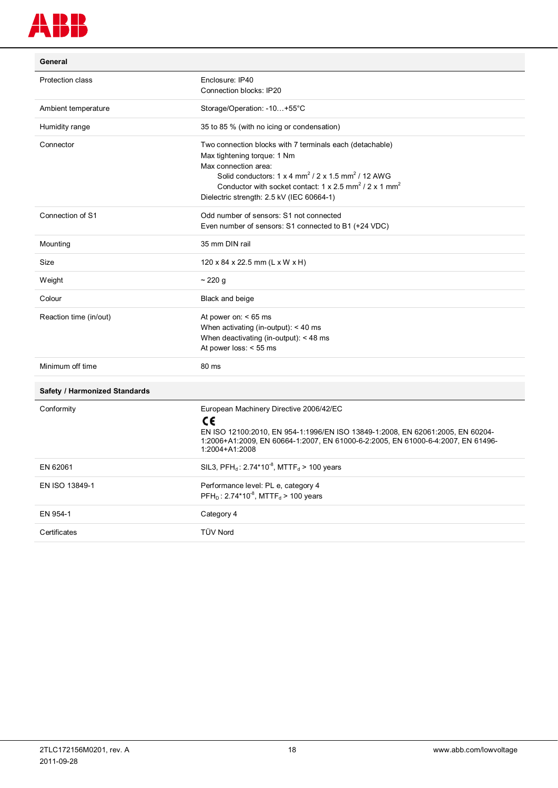

| General                              |                                                                                                                                                                                                                                                                                                                                                            |  |
|--------------------------------------|------------------------------------------------------------------------------------------------------------------------------------------------------------------------------------------------------------------------------------------------------------------------------------------------------------------------------------------------------------|--|
| Protection class                     | Enclosure: IP40<br>Connection blocks: IP20                                                                                                                                                                                                                                                                                                                 |  |
| Ambient temperature                  | Storage/Operation: -10+55°C                                                                                                                                                                                                                                                                                                                                |  |
| Humidity range                       | 35 to 85 % (with no icing or condensation)                                                                                                                                                                                                                                                                                                                 |  |
| Connector                            | Two connection blocks with 7 terminals each (detachable)<br>Max tightening torque: 1 Nm<br>Max connection area:<br>Solid conductors: $1 \times 4$ mm <sup>2</sup> / $2 \times 1.5$ mm <sup>2</sup> / $12$ AWG<br>Conductor with socket contact: $1 \times 2.5$ mm <sup>2</sup> / $2 \times 1$ mm <sup>2</sup><br>Dielectric strength: 2.5 kV (IEC 60664-1) |  |
| Connection of S1                     | Odd number of sensors: S1 not connected<br>Even number of sensors: S1 connected to B1 (+24 VDC)                                                                                                                                                                                                                                                            |  |
| Mounting                             | 35 mm DIN rail                                                                                                                                                                                                                                                                                                                                             |  |
| Size                                 | 120 x 84 x 22.5 mm (L x W x H)                                                                                                                                                                                                                                                                                                                             |  |
| Weight                               | ~220 g                                                                                                                                                                                                                                                                                                                                                     |  |
| Colour                               | Black and beige                                                                                                                                                                                                                                                                                                                                            |  |
| Reaction time (in/out)               | At power on: $< 65$ ms<br>When activating (in-output): $<$ 40 ms<br>When deactivating (in-output): $<$ 48 ms<br>At power loss: $<$ 55 ms                                                                                                                                                                                                                   |  |
| Minimum off time                     | 80 ms                                                                                                                                                                                                                                                                                                                                                      |  |
| <b>Safety / Harmonized Standards</b> |                                                                                                                                                                                                                                                                                                                                                            |  |
| Conformity                           | European Machinery Directive 2006/42/EC<br>C€<br>EN ISO 12100:2010, EN 954-1:1996/EN ISO 13849-1:2008, EN 62061:2005, EN 60204-<br>1:2006+A1:2009, EN 60664-1:2007, EN 61000-6-2:2005, EN 61000-6-4:2007, EN 61496-<br>1:2004+A1:2008                                                                                                                      |  |
| EN 62061                             | SIL3, PFH <sub>d</sub> : $2.74*10^{-8}$ , MTTF <sub>d</sub> > 100 years                                                                                                                                                                                                                                                                                    |  |
| EN ISO 13849-1                       | Performance level: PL e, category 4<br>$PFH_{D}$ : 2.74*10 <sup>-8</sup> , MTTF <sub>d</sub> > 100 years                                                                                                                                                                                                                                                   |  |
| EN 954-1                             | Category 4                                                                                                                                                                                                                                                                                                                                                 |  |
| Certificates                         | <b>TÜV Nord</b>                                                                                                                                                                                                                                                                                                                                            |  |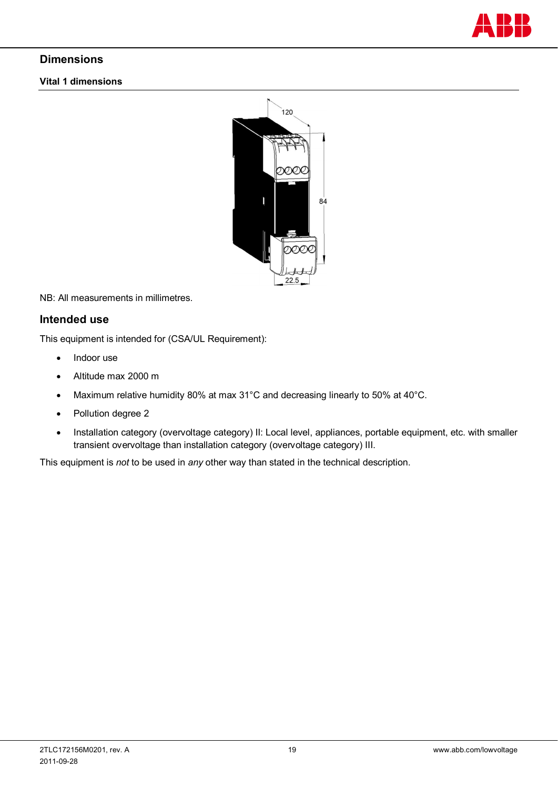

## **Dimensions**

#### **Vital 1 dimensions**



NB: All measurements in millimetres.

### **Intended use**

This equipment is intended for (CSA/UL Requirement):

- $\bullet$  Indoor use
- Altitude max 2000 m
- Maximum relative humidity 80% at max 31°C and decreasing linearly to 50% at 40°C.
- Pollution degree 2
- Installation category (overvoltage category) II: Local level, appliances, portable equipment, etc. with smaller transient overvoltage than installation category (overvoltage category) III.

This equipment is *not* to be used in *any* other way than stated in the technical description.